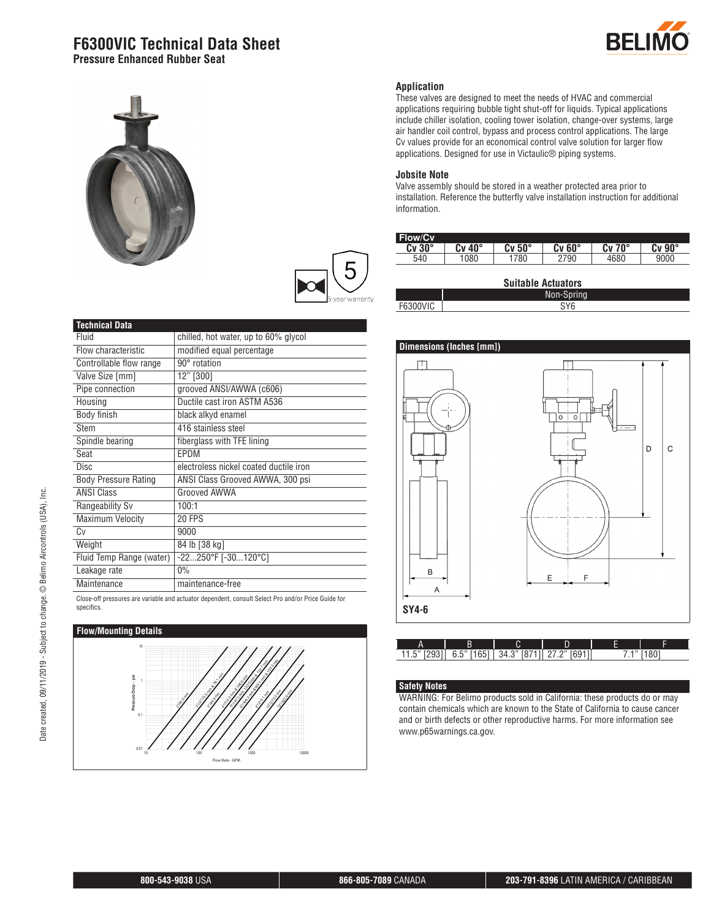### **F6300VIC Technical Data Sheet Pressure Enhanced Rubber Seat**







| <b>Technical Data</b>       |                                         |  |
|-----------------------------|-----------------------------------------|--|
| Fluid                       | chilled, hot water, up to 60% glycol    |  |
| Flow characteristic         | modified equal percentage               |  |
| Controllable flow range     | 90° rotation                            |  |
| Valve Size [mm]             | 12" [300]                               |  |
| Pipe connection             | grooved ANSI/AWWA (c606)                |  |
| Housing                     | Ductile cast iron ASTM A536             |  |
| Body finish                 | black alkyd enamel                      |  |
| Stem                        | 416 stainless steel                     |  |
| Spindle bearing             | fiberglass with TFE lining              |  |
| Seat                        | EPDM                                    |  |
| <b>Disc</b>                 | electroless nickel coated ductile iron  |  |
| <b>Body Pressure Rating</b> | ANSI Class Grooved AWWA, 300 psi        |  |
| <b>ANSI Class</b>           | Grooved AWWA                            |  |
| Rangeability Sv             | 100:1                                   |  |
| Maximum Velocity            | 20 FPS                                  |  |
| Cv                          | 9000                                    |  |
| Weight                      | 84 lb [38 kg]                           |  |
| Fluid Temp Range (water)    | $-22250^{\circ}$ F $[-30120^{\circ}$ C] |  |
| Leakage rate                | $0\%$                                   |  |
| Maintenance                 | maintenance-free                        |  |
| $\sim$ $\sim$               |                                         |  |

Close-off pressures are variable and actuator dependent, consult Select Pro and/or Price Guide for specifics.



#### **Application**

These valves are designed to meet the needs of HVAC and commercial applications requiring bubble tight shut-off for liquids. Typical applications include chiller isolation, cooling tower isolation, change-over systems, large air handler coil control, bypass and process control applications. The large Cv values provide for an economical control valve solution for larger flow applications. Designed for use in Victaulic® piping systems.

#### **Jobsite Note**

Valve assembly should be stored in a weather protected area prior to installation. Reference the butterfly valve installation instruction for additional information.

| <b>Flow/Cv</b> |        |        |        |                    |            |
|----------------|--------|--------|--------|--------------------|------------|
| $Cv 30^\circ$  | Cv 40° | Cv 50° | Cv 60° | $70^{\circ}$<br>Cv | $90^\circ$ |
| 540            | 1080   | 780    | 2790   | 1680               | 9000       |
|                |        |        |        |                    |            |

| <b>Suitable Actuators</b> |            |  |  |
|---------------------------|------------|--|--|
|                           | Non-Spring |  |  |
| <b>F6300VIC</b>           | SY6        |  |  |



|       | В |                  | =     | -<br>- | ▀    |
|-------|---|------------------|-------|--------|------|
| ن. ال | h | -211<br>44∶<br>u | [601] |        | 1001 |

#### **Safety Notes**

WARNING: For Belimo products sold in California: these products do or may contain chemicals which are known to the State of California to cause cancer and or birth defects or other reproductive harms. For more information see www.p65warnings.ca.gov.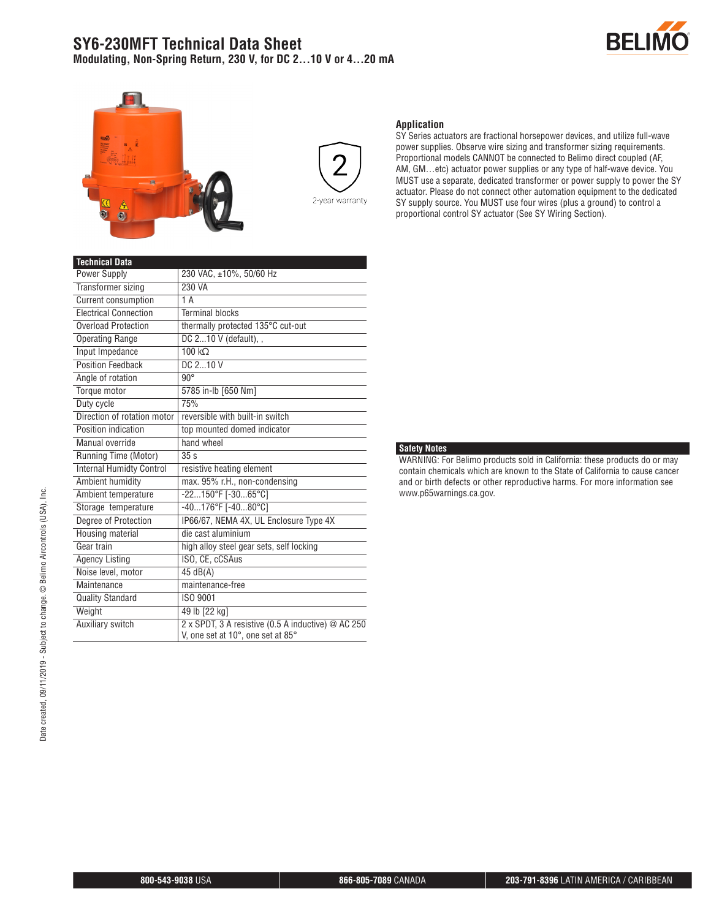## **SY6-230MFT Technical Data Sheet Modulating, Non-Spring Return, 230 V, for DC 2...10 V or 4...20 mA**







#### **Application**

SY Series actuators are fractional horsepower devices, and utilize full-wave power supplies. Observe wire sizing and transformer sizing requirements. Proportional models CANNOT be connected to Belimo direct coupled (AF, AM, GM…etc) actuator power supplies or any type of half-wave device. You MUST use a separate, dedicated transformer or power supply to power the SY actuator. Please do not connect other automation equipment to the dedicated SY supply source. You MUST use four wires (plus a ground) to control a proportional control SY actuator (See SY Wiring Section).

| <b>Technical Data</b>           |                                                                                         |
|---------------------------------|-----------------------------------------------------------------------------------------|
| <b>Power Supply</b>             | 230 VAC, ±10%, 50/60 Hz                                                                 |
| <b>Transformer sizing</b>       | 230 VA                                                                                  |
| <b>Current consumption</b>      | 1A                                                                                      |
| <b>Electrical Connection</b>    | <b>Terminal blocks</b>                                                                  |
| <b>Overload Protection</b>      | thermally protected 135°C cut-out                                                       |
| <b>Operating Range</b>          | DC $210$ V (default), ,                                                                 |
| Input Impedance                 | $100 k\Omega$                                                                           |
| <b>Position Feedback</b>        | DC 210 V                                                                                |
| Angle of rotation               | $90^\circ$                                                                              |
| Torque motor                    | 5785 in-lb [650 Nm]                                                                     |
| Duty cycle                      | 75%                                                                                     |
| Direction of rotation motor     | reversible with built-in switch                                                         |
| Position indication             | top mounted domed indicator                                                             |
| Manual override                 | hand wheel                                                                              |
| Running Time (Motor)            | 35 <sub>s</sub>                                                                         |
| <b>Internal Humidty Control</b> | resistive heating element                                                               |
| Ambient humidity                | max. 95% r.H., non-condensing                                                           |
| Ambient temperature             | -22150°F [-3065°C]                                                                      |
| Storage temperature             | $-40176$ °F [ $-4080$ °C]                                                               |
| Degree of Protection            | IP66/67, NEMA 4X, UL Enclosure Type 4X                                                  |
| Housing material                | die cast aluminium                                                                      |
| Gear train                      | high alloy steel gear sets, self locking                                                |
| <b>Agency Listing</b>           | ISO, CE, cCSAus                                                                         |
| Noise level, motor              | 45 dB(A)                                                                                |
| Maintenance                     | maintenance-free                                                                        |
| <b>Quality Standard</b>         | ISO 9001                                                                                |
| Weight                          | 49 lb [22 kg]                                                                           |
| Auxiliary switch                | 2 x SPDT, 3 A resistive (0.5 A inductive) @ AC 250<br>V, one set at 10°, one set at 85° |

#### **Safety Notes**

WARNING: For Belimo products sold in California: these products do or may contain chemicals which are known to the State of California to cause cancer and or birth defects or other reproductive harms. For more information see www.p65warnings.ca.gov.